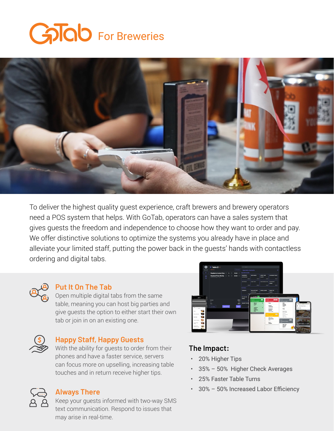## GoTab For Breweries



To deliver the highest quality guest experience, craft brewers and brewery operators need a POS system that helps. With GoTab, operators can have a sales system that gives guests the freedom and independence to choose how they want to order and pay. We offer distinctive solutions to optimize the systems you already have in place and alleviate your limited staff, putting the power back in the guests' hands with contactless ordering and digital tabs.



#### **Put It On The Tab**

Open multiple digital tabs from the same table, meaning you can host big parties and give guests the option to either start their own tab or join in on an existing one.



#### **Happy Staff, Happy Guests**

With the ability for guests to order from their phones and have a faster service, servers can focus more on upselling, increasing table touches and in return receive higher tips.

### **The Impact:**

- 20% Higher Tips
- 35% 50% Higher Check Averages
- 25% Faster Table Turns
- 30% 50% Increased Labor Efficiency

### **Always There**

Keep your guests informed with two-way SMS text communication. Respond to issues that may arise in real-time.